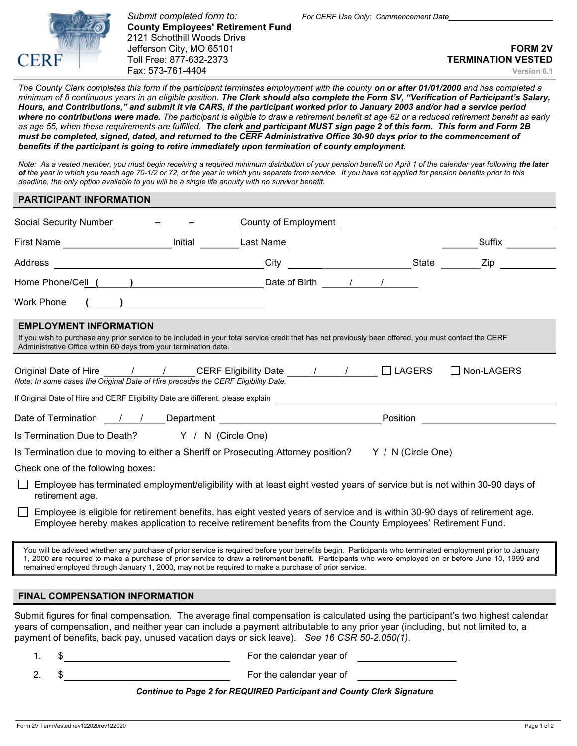

Submit completed form to: For CERF Use Only: Commencement Date County Employees' Retirement Fund 2121 Schotthill Woods Drive Jefferson City, MO 65101 FORM 2V and the state of the state of the state of the state of the state of the state of the state of the state of the state of the state of the state of the state of the state of the state of the Toll Free: 877-632-2373 TERMINATION VESTED Fax: 573-761-4404 Version 6.1

The County Clerk completes this form if the participant terminates employment with the county on or after 01/01/2000 and has completed a minimum of 8 continuous years in an eligible position. The Clerk should also complete the Form SV, "Verification of Participant's Salary, Hours, and Contributions," and submit it via CARS, if the participant worked prior to January 2003 and/or had a service period where no contributions were made. The participant is eligible to draw a retirement benefit at age 62 or a reduced retirement benefit as early as age 55, when these requirements are fulfilled. The clerk and participant MUST sign page 2 of this form. This form and Form 2B must be completed, signed, dated, and returned to the CERF Administrative Office 30-90 days prior to the commencement of benefits if the participant is going to retire immediately upon termination of county employment.

Note: As a vested member, you must begin receiving a required minimum distribution of your pension benefit on April 1 of the calendar year following the later of the year in which you reach age 70-1/2 or 72, or the year in which you separate from service. If you have not applied for pension benefits prior to this deadline, the only option available to you will be a single life annuity with no survivor benefit.

## PARTICIPANT INFORMATION

| Social Security Number                                                                                                                                                                                                                                                                                                                                                                                                   | County of Employment <b>Example 20</b> Section 20 and 20 Section 20 and 20 and 20 and 20 and 20 and 20 and 20 and 20 and 20 and 20 and 20 and 20 and 20 and 20 and 20 and 20 and 20 and 20 and 20 and 20 and 20 and 20 and 20 and 2 |            |  |  |  |
|--------------------------------------------------------------------------------------------------------------------------------------------------------------------------------------------------------------------------------------------------------------------------------------------------------------------------------------------------------------------------------------------------------------------------|-------------------------------------------------------------------------------------------------------------------------------------------------------------------------------------------------------------------------------------|------------|--|--|--|
| Initial<br>First Name _____________________                                                                                                                                                                                                                                                                                                                                                                              |                                                                                                                                                                                                                                     | Suffix     |  |  |  |
| Address<br><u> 1989 - Johann Barn, fransk politik amerikansk politik (</u>                                                                                                                                                                                                                                                                                                                                               | City<br>__________________________State ______                                                                                                                                                                                      | Zip        |  |  |  |
|                                                                                                                                                                                                                                                                                                                                                                                                                          |                                                                                                                                                                                                                                     |            |  |  |  |
| <b>Work Phone</b>                                                                                                                                                                                                                                                                                                                                                                                                        |                                                                                                                                                                                                                                     |            |  |  |  |
| <b>EMPLOYMENT INFORMATION</b><br>If you wish to purchase any prior service to be included in your total service credit that has not previously been offered, you must contact the CERF<br>Administrative Office within 60 days from your termination date.                                                                                                                                                               |                                                                                                                                                                                                                                     |            |  |  |  |
| Original Date of Hire ______/ _________ CERF Eligibility Date ______/ __________<br>Note: In some cases the Original Date of Hire precedes the CERF Eligibility Date.                                                                                                                                                                                                                                                    | $\Box$ LAGERS                                                                                                                                                                                                                       | Non-LAGERS |  |  |  |
| If Original Date of Hire and CERF Eligibility Date are different, please explain                                                                                                                                                                                                                                                                                                                                         |                                                                                                                                                                                                                                     |            |  |  |  |
|                                                                                                                                                                                                                                                                                                                                                                                                                          | Position                                                                                                                                                                                                                            |            |  |  |  |
| Is Termination Due to Death? Y / N (Circle One)                                                                                                                                                                                                                                                                                                                                                                          |                                                                                                                                                                                                                                     |            |  |  |  |
| Is Termination due to moving to either a Sheriff or Prosecuting Attorney position? $Y / N$ (Circle One)                                                                                                                                                                                                                                                                                                                  |                                                                                                                                                                                                                                     |            |  |  |  |
| Check one of the following boxes:                                                                                                                                                                                                                                                                                                                                                                                        |                                                                                                                                                                                                                                     |            |  |  |  |
| Employee has terminated employment/eligibility with at least eight vested years of service but is not within 30-90 days of<br>retirement age.                                                                                                                                                                                                                                                                            |                                                                                                                                                                                                                                     |            |  |  |  |
| Employee is eligible for retirement benefits, has eight vested years of service and is within 30-90 days of retirement age.                                                                                                                                                                                                                                                                                              | Employee hereby makes application to receive retirement benefits from the County Employees' Retirement Fund.                                                                                                                        |            |  |  |  |
| You will be advised whether any purchase of prior service is required before your benefits begin. Participants who terminated employment prior to January<br>1, 2000 are required to make a purchase of prior service to draw a retirement benefit. Participants who were employed on or before June 10, 1999 and<br>remained employed through January 1, 2000, may not be required to make a purchase of prior service. |                                                                                                                                                                                                                                     |            |  |  |  |
| <b>FINAL COMPENSATION INFORMATION</b>                                                                                                                                                                                                                                                                                                                                                                                    |                                                                                                                                                                                                                                     |            |  |  |  |

Submit figures for final compensation. The average final compensation is calculated using the participant's two highest calendar years of compensation, and neither year can include a payment attributable to any prior year (including, but not limited to, a payment of benefits, back pay, unused vacation days or sick leave). See 16 CSR 50-2.050(1).

- 1. \$ For the calendar year of
- 2. \$ For the calendar year of

## Continue to Page 2 for REQUIRED Participant and County Clerk Signature